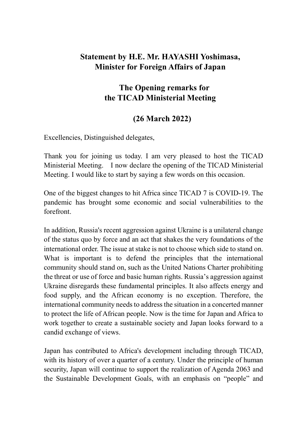## Statement by H.E. Mr. HAYASHI Yoshimasa, Minister for Foreign Affairs of Japan

## The Opening remarks for the TICAD Ministerial Meeting

## (26 March 2022)

Excellencies, Distinguished delegates,

Thank you for joining us today. I am very pleased to host the TICAD Ministerial Meeting. I now declare the opening of the TICAD Ministerial Meeting. I would like to start by saying a few words on this occasion.

One of the biggest changes to hit Africa since TICAD 7 is COVID-19. The pandemic has brought some economic and social vulnerabilities to the forefront.

In addition, Russia's recent aggression against Ukraine is a unilateral change of the status quo by force and an act that shakes the very foundations of the international order. The issue at stake is not to choose which side to stand on. What is important is to defend the principles that the international community should stand on, such as the United Nations Charter prohibiting the threat or use of force and basic human rights. Russia's aggression against Ukraine disregards these fundamental principles. It also affects energy and food supply, and the African economy is no exception. Therefore, the international community needs to address the situation in a concerted manner to protect the life of African people. Now is the time for Japan and Africa to work together to create a sustainable society and Japan looks forward to a candid exchange of views.

Japan has contributed to Africa's development including through TICAD, with its history of over a quarter of a century. Under the principle of human security, Japan will continue to support the realization of Agenda 2063 and the Sustainable Development Goals, with an emphasis on "people" and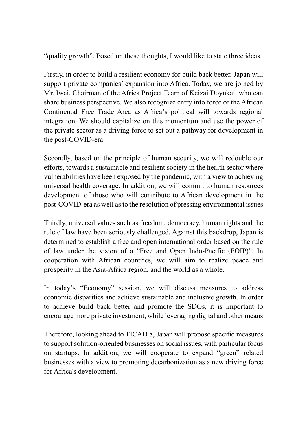"quality growth". Based on these thoughts, I would like to state three ideas.

Firstly, in order to build a resilient economy for build back better, Japan will support private companies' expansion into Africa. Today, we are joined by Mr. Iwai, Chairman of the Africa Project Team of Keizai Doyukai, who can share business perspective. We also recognize entry into force of the African Continental Free Trade Area as Africa's political will towards regional integration. We should capitalize on this momentum and use the power of the private sector as a driving force to set out a pathway for development in the post-COVID-era.

Secondly, based on the principle of human security, we will redouble our efforts, towards a sustainable and resilient society in the health sector where vulnerabilities have been exposed by the pandemic, with a view to achieving universal health coverage. In addition, we will commit to human resources development of those who will contribute to African development in the post-COVID-era as well as to the resolution of pressing environmental issues.

Thirdly, universal values such as freedom, democracy, human rights and the rule of law have been seriously challenged. Against this backdrop, Japan is determined to establish a free and open international order based on the rule of law under the vision of a "Free and Open Indo-Pacific (FOIP)". In cooperation with African countries, we will aim to realize peace and prosperity in the Asia-Africa region, and the world as a whole.

In today's "Economy" session, we will discuss measures to address economic disparities and achieve sustainable and inclusive growth. In order to achieve build back better and promote the SDGs, it is important to encourage more private investment, while leveraging digital and other means.

Therefore, looking ahead to TICAD 8, Japan will propose specific measures to support solution-oriented businesses on social issues, with particular focus on startups. In addition, we will cooperate to expand "green" related businesses with a view to promoting decarbonization as a new driving force for Africa's development.